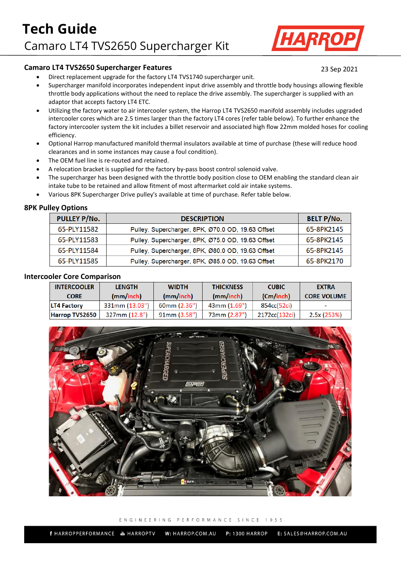

# **Camaro LT4 TVS2650 Supercharger Features** 23 Sep 2021

- Direct replacement upgrade for the factory LT4 TVS1740 supercharger unit.
- Supercharger manifold incorporates independent input drive assembly and throttle body housings allowing flexible throttle body applications without the need to replace the drive assembly. The supercharger is supplied with an adaptor that accepts factory LT4 ETC.
- Utilizing the factory water to air intercooler system, the Harrop LT4 TVS2650 manifold assembly includes upgraded intercooler cores which are 2.5 times larger than the factory LT4 cores (refer table below). To further enhance the factory intercooler system the kit includes a billet reservoir and associated high flow 22mm molded hoses for cooling efficiency.
- Optional Harrop manufactured manifold thermal insulators available at time of purchase (these will reduce hood clearances and in some instances may cause a foul condition).
- The OEM fuel line is re-routed and retained.
- A relocation bracket is supplied for the factory by-pass boost control solenoid valve.
- The supercharger has been designed with the throttle body position close to OEM enabling the standard clean air intake tube to be retained and allow fitment of most aftermarket cold air intake systems.
- Various 8PK Supercharger Drive pulley's available at time of purchase. Refer table below.

### **8PK Pulley Options**

| <b>PULLEY P/No.</b> | <b>DESCRIPTION</b>                                | <b>BELT P/No.</b> |
|---------------------|---------------------------------------------------|-------------------|
| 65-PLY11582         | Pulley, Supercharger, 8PK, Ø70.0 OD, 19.63 Offset | 65-8PK2145        |
| 65-PLY11583         | Pulley, Supercharger, 8PK, Ø75.0 OD, 19.63 Offset | 65-8PK2145        |
| 65-PLY11584         | Pulley, Supercharger, 8PK, Ø80.0 OD, 19.63 Offset | 65-8PK2145        |
| 65-PLY11585         | Pulley, Supercharger, 8PK, Ø85.0 OD, 19.63 Offset | 65-8PK2170        |

### **Intercooler Core Comparison**

| <b>INTERCOOLER</b> | <b>LENGTH</b>  | <b>WIDTH</b> | <b>THICKNESS</b> | <b>CUBIC</b>  | <b>EXTRA</b>             |
|--------------------|----------------|--------------|------------------|---------------|--------------------------|
| <b>CORE</b>        | (mm/inch)      | (mm/inch)    | (mm/inch)        | (Cm/inch)     | <b>CORE VOLUME</b>       |
| <b>LT4 Factory</b> | 331mm (13.03") | 60mm(2.36")  | 43mm (1.69")     | 854cc(52ci)   | $\overline{\phantom{a}}$ |
| Harrop TVS2650     | 327mm(12.8")   | 91mm(3.58")  | 73mm (2.87")     | 2172cc(132ci) | 2.5x (253%)              |



#### ENGINEERING PERFORMANCE SINCE 1955